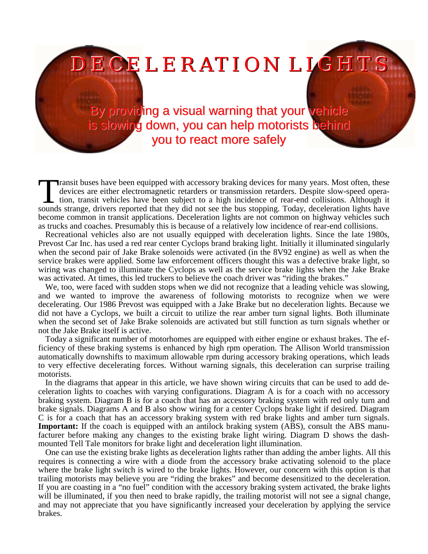ECELERATION LIGH

By providing a visual warning that your vehicle is slowing down, you can help motorists behind you to react more safely

**Transit buses have been equipped with accessory braking devices for many years. Most often, these** devices are either electromagnetic retarders or transmission retarders. Despite slow-speed operation, transit vehicles have been subject to a high incidence of rear-end collisions. Although it Transit buses have been equipped with accessory braking devices for many years. Most often, these devices are either electromagnetic retarders or transmission retarders. Despite slow-speed operation, transit vehicles have become common in transit applications. Deceleration lights are not common on highway vehicles such as trucks and coaches. Presumably this is because of a relatively low incidence of rear-end collisions.

Recreational vehicles also are not usually equipped with deceleration lights. Since the late 1980s, Prevost Car Inc. has used a red rear center Cyclops brand braking light. Initially it illuminated singularly when the second pair of Jake Brake solenoids were activated (in the 8V92 engine) as well as when the service brakes were applied. Some law enforcement officers thought this was a defective brake light, so wiring was changed to illuminate the Cyclops as well as the service brake lights when the Jake Brake was activated. At times, this led truckers to believe the coach driver was "riding the brakes."

We, too, were faced with sudden stops when we did not recognize that a leading vehicle was slowing, and we wanted to improve the awareness of following motorists to recognize when we were decelerating. Our 1986 Prevost was equipped with a Jake Brake but no deceleration lights. Because we did not have a Cyclops, we built a circuit to utilize the rear amber turn signal lights. Both illuminate when the second set of Jake Brake solenoids are activated but still function as turn signals whether or not the Jake Brake itself is active.

Today a significant number of motorhomes are equipped with either engine or exhaust brakes. The efficiency of these braking systems is enhanced by high rpm operation. The Allison World transmission automatically downshifts to maximum allowable rpm during accessory braking operations, which leads to very effective decelerating forces. Without warning signals, this deceleration can surprise trailing motorists.

In the diagrams that appear in this article, we have shown wiring circuits that can be used to add deceleration lights to coaches with varying configurations. Diagram A is for a coach with no accessory braking system. Diagram B is for a coach that has an accessory braking system with red only turn and brake signals. Diagrams A and B also show wiring for a center Cyclops brake light if desired. Diagram C is for a coach that has an accessory braking system with red brake lights and amber turn signals. **Important:** If the coach is equipped with an antilock braking system (ABS), consult the ABS manufacturer before making any changes to the existing brake light wiring. Diagram D shows the dashmounted Tell Tale monitors for brake light and deceleration light illumination.

One can use the existing brake lights as deceleration lights rather than adding the amber lights. All this requires is connecting a wire with a diode from the accessory brake activating solenoid to the place where the brake light switch is wired to the brake lights. However, our concern with this option is that trailing motorists may believe you are "riding the brakes" and become desensitized to the deceleration. If you are coasting in a "no fuel" condition with the accessory braking system activated, the brake lights will be illuminated, if you then need to brake rapidly, the trailing motorist will not see a signal change, and may not appreciate that you have significantly increased your deceleration by applying the service brakes.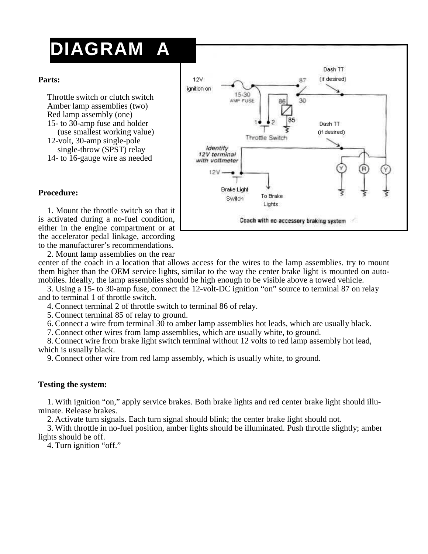# **DIAGRAM A**

#### **Parts:**

Throttle switch or clutch switch Amber lamp assemblies (two) Red lamp assembly (one) 15- to 30-amp fuse and holder (use smallest working value) 12-volt, 30-amp single-pole single-throw (SPST) relay 14- to 16-gauge wire as needed



### **Procedure:**

1. Mount the throttle switch so that it is activated during a no-fuel condition, either in the engine compartment or at the accelerator pedal linkage, according to the manufacturer's recommendations.

2. Mount lamp assemblies on the rear

center of the coach in a location that allows access for the wires to the lamp assemblies. try to mount them higher than the OEM service lights, similar to the way the center brake light is mounted on automobiles. Ideally, the lamp assemblies should be high enough to be visible above a towed vehicle.

3. Using a 15- to 30-amp fuse, connect the 12-volt-DC ignition "on" source to terminal 87 on relay and to terminal 1 of throttle switch.

4. Connect terminal 2 of throttle switch to terminal 86 of relay.

5. Connect terminal 85 of relay to ground.

6. Connect a wire from terminal 30 to amber lamp assemblies hot leads, which are usually black.

7. Connect other wires from lamp assemblies, which are usually white, to ground.

8. Connect wire from brake light switch terminal without 12 volts to red lamp assembly hot lead, which is usually black.

9. Connect other wire from red lamp assembly, which is usually white, to ground.

#### **Testing the system:**

1. With ignition "on," apply service brakes. Both brake lights and red center brake light should illuminate. Release brakes.

2. Activate turn signals. Each turn signal should blink; the center brake light should not.

3. With throttle in no-fuel position, amber lights should be illuminated. Push throttle slightly; amber lights should be off.

4. Turn ignition "off."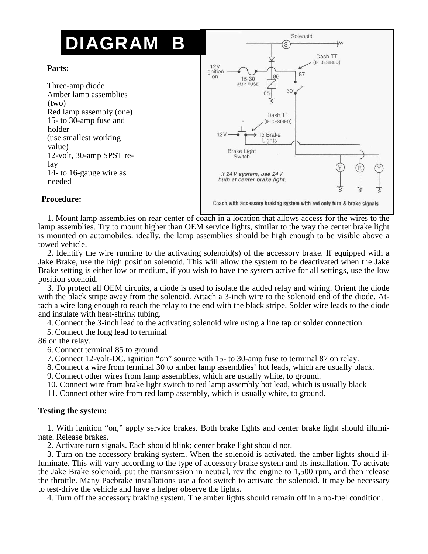# **DIAGRAM B**

#### **Parts:**

Three-amp diode Amber lamp assemblies (two) Red lamp assembly (one) 15- to 30-amp fuse and holder (use smallest working value) 12-volt, 30-amp SPST relay 14- to 16-gauge wire as needed



### **Procedure:**

1. Mount lamp assemblies on rear center of coach in a location that allows access for the wires to the lamp assemblies. Try to mount higher than OEM service lights, similar to the way the center brake light is mounted on automobiles. ideally, the lamp assemblies should be high enough to be visible above a towed vehicle.

2. Identify the wire running to the activating solenoid(s) of the accessory brake. If equipped with a Jake Brake, use the high position solenoid. This will allow the system to be deactivated when the Jake Brake setting is either low or medium, if you wish to have the system active for all settings, use the low position solenoid.

3. To protect all OEM circuits, a diode is used to isolate the added relay and wiring. Orient the diode with the black stripe away from the solenoid. Attach a 3-inch wire to the solenoid end of the diode. Attach a wire long enough to reach the relay to the end with the black stripe. Solder wire leads to the diode and insulate with heat-shrink tubing.

4. Connect the 3-inch lead to the activating solenoid wire using a line tap or solder connection.

5. Connect the long lead to terminal

86 on the relay.

6. Connect terminal 85 to ground.

7. Connect 12-volt-DC, ignition "on" source with 15- to 30-amp fuse to terminal 87 on relay.

8. Connect a wire from terminal 30 to amber lamp assemblies' hot leads, which are usually black.

9. Connect other wires from lamp assemblies, which are usually white, to ground.

10. Connect wire from brake light switch to red lamp assembly hot lead, which is usually black

11. Connect other wire from red lamp assembly, which is usually white, to ground.

#### **Testing the system:**

1. With ignition "on," apply service brakes. Both brake lights and center brake light should illuminate. Release brakes.

2. Activate turn signals. Each should blink; center brake light should not.

3. Turn on the accessory braking system. When the solenoid is activated, the amber lights should illuminate. This will vary according to the type of accessory brake system and its installation. To activate the Jake Brake solenoid, put the transmission in neutral, rev the engine to 1,500 rpm, and then release the throttle. Many Pacbrake installations use a foot switch to activate the solenoid. It may be necessary to test-drive the vehicle and have a helper observe the lights.

4. Turn off the accessory braking system. The amber lights should remain off in a no-fuel condition.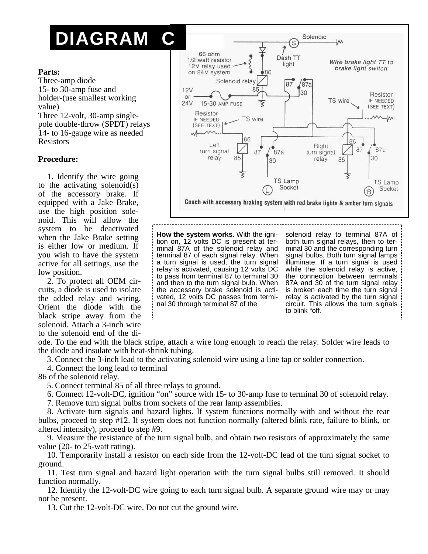# **DIAGRAM C**

#### **Parts:**

Three-amp diode 15- to 30-amp fuse and holder-(use smallest working value) Three 12-volt, 30-amp singlepole double-throw (SPDT) relays 14- to 16-gauge wire as needed Resistors

#### **Procedure:**

1. Identify the wire going to the activating solenoid(s) of the accessory brake. If equipped with a Jake Brake, use the high position solenoid. This will allow the system to be deactivated when the Jake Brake setting is either low or medium. If you wish to have the system active for all settings, use the low position.

2. To protect all OEM circuits, a diode is used to isolate the added relay and wiring. Orient the diode with the black stripe away from the solenoid. Attach a 3-inch wire to the solenoid end of the di-



**How the system works**. With the ignition on, 12 volts DC is present at terminal 87A of the solenoid relay and terminal 87 of each signal relay. When a turn signal is used, the turn signal relay is activated, causing 12 volts DC to pass from terminal 87 to terminal 30 and then to the turn signal bulb. When the accessory brake solenoid is activated, 12 volts DC passes from terminal 30 through terminal 87 of the

solenoid relay to terminal 87A of both turn signal relays, then to terminal 30 and the corresponding turn signal bulbs. Both turn signal lamps illuminate. If a turn signal is used while the solenoid relay is active, the connection between terminals 87A and 30 of the turn signal relay is broken each time the turn signal relay is activated by the turn signal circuit. This allows the turn signals to blink "off.

ode. To the end with the black stripe, attach a wire long enough to reach the relay. Solder wire leads to the diode and insulate with heat-shrink tubing.

3. Connect the 3-inch lead to the activating solenoid wire using a line tap or solder connection.

4. Connect the long lead to terminal

86 of the solenoid relay.

5. Connect terminal 85 of all three relays to ground.

6. Connect 12-volt-DC, ignition "on" source with 15- to 30-amp fuse to terminal 30 of solenoid relay.

7. Remove turn signal bulbs from sockets of the rear lamp assemblies.

8. Activate turn signals and hazard lights. If system functions normally with and without the rear bulbs, proceed to step #12. If system does not function normally (altered blink rate, failure to blink, or altered intensity), proceed to step #9.

9. Measure the resistance of the turn signal bulb, and obtain two resistors of approximately the same value (20- to 25-watt rating).

10. Temporarily install a resistor on each side from the 12-volt-DC lead of the turn signal socket to ground.

11. Test turn signal and hazard light operation with the turn signal bulbs still removed. It should function normally.

12. Identify the 12-volt-DC wire going to each turn signal bulb. A separate ground wire may or may not be present.

13. Cut the 12-volt-DC wire. Do not cut the ground wire.